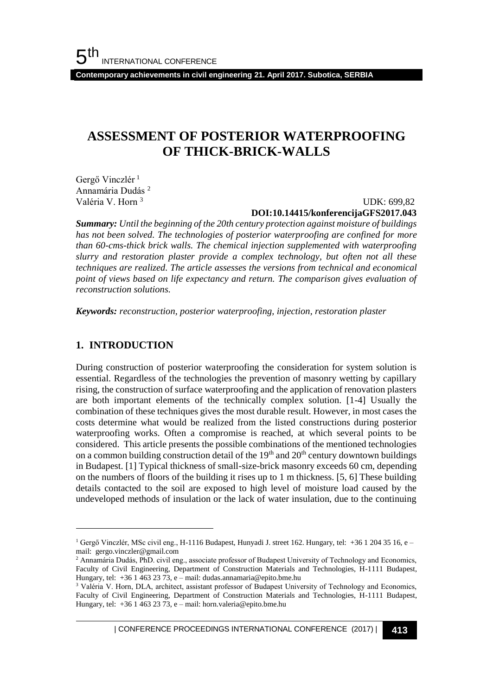**Contemporary achievements in civil engineering 21. April 2017. Subotica, SERBIA**

# **ASSESSMENT OF POSTERIOR WATERPROOFING OF THICK-BRICK-WALLS**

Gergő Vinczlér<sup>1</sup> Annamária Dudás <sup>2</sup> Valéria V. Horn <sup>3</sup>

### UDK: 699,82 **DOI:10.14415/konferencijaGFS2017.043**

*Summary: Until the beginning of the 20th century protection against moisture of buildings has not been solved. The technologies of posterior waterproofing are confined for more than 60-cms-thick brick walls. The chemical injection supplemented with waterproofing slurry and restoration plaster provide a complex technology, but often not all these techniques are realized. The article assesses the versions from technical and economical point of views based on life expectancy and return. The comparison gives evaluation of reconstruction solutions.*

*Keywords: reconstruction, posterior waterproofing, injection, restoration plaster*

# **1. INTRODUCTION**

l

During construction of posterior waterproofing the consideration for system solution is essential. Regardless of the technologies the prevention of masonry wetting by capillary rising, the construction of surface waterproofing and the application of renovation plasters are both important elements of the technically complex solution. [1-4] Usually the combination of these techniques gives the most durable result. However, in most cases the costs determine what would be realized from the listed constructions during posterior waterproofing works. Often a compromise is reached, at which several points to be considered. This article presents the possible combinations of the mentioned technologies on a common building construction detail of the  $19<sup>th</sup>$  and  $20<sup>th</sup>$  century downtown buildings in Budapest. [1] Typical thickness of small-size-brick masonry exceeds 60 cm, depending on the numbers of floors of the building it rises up to 1 m thickness. [5, 6] These building details contacted to the soil are exposed to high level of moisture load caused by the undeveloped methods of insulation or the lack of water insulation, due to the continuing

| CONFERENCE PROCEEDINGS INTERNATIONAL CONFERENCE (2017) <sup>|</sup>**413**

<sup>1</sup> Gergő Vinczlér, MSc civil eng., H-1116 Budapest, Hunyadi J. street 162. Hungary, tel: +36 1 204 35 16, e – mail: gergo.vinczler@gmail.com

<sup>&</sup>lt;sup>2</sup> Annamária Dudás, PhD. civil eng., associate professor of Budapest University of Technology and Economics, Faculty of Civil Engineering, Department of Construction Materials and Technologies, H-1111 Budapest, Hungary, tel: +36 1 463 23 73, e – mail: dudas.annamaria@epito.bme.hu

<sup>&</sup>lt;sup>3</sup> Valéria V. Horn, DLA, architect, assistant professor of Budapest University of Technology and Economics, Faculty of Civil Engineering, Department of Construction Materials and Technologies, H-1111 Budapest, Hungary, tel: +36 1 463 23 73, e – mail: horn.valeria@epito.bme.hu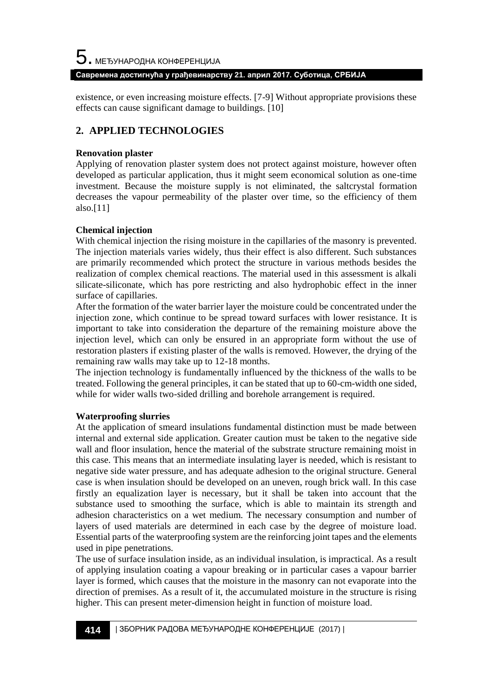#### **Савремена достигнућа у грађевинарству 21. април 2017. Суботица, СРБИЈА**

existence, or even increasing moisture effects. [7-9] Without appropriate provisions these effects can cause significant damage to buildings. [10]

# **2. APPLIED TECHNOLOGIES**

### **Renovation plaster**

Applying of renovation plaster system does not protect against moisture, however often developed as particular application, thus it might seem economical solution as one-time investment. Because the moisture supply is not eliminated, the saltcrystal formation decreases the vapour permeability of the plaster over time, so the efficiency of them also.[11]

# **Chemical injection**

With chemical injection the rising moisture in the capillaries of the masonry is prevented. The injection materials varies widely, thus their effect is also different. Such substances are primarily recommended which protect the structure in various methods besides the realization of complex chemical reactions. The material used in this assessment is alkali silicate-siliconate, which has pore restricting and also hydrophobic effect in the inner surface of capillaries.

After the formation of the water barrier layer the moisture could be concentrated under the injection zone, which continue to be spread toward surfaces with lower resistance. It is important to take into consideration the departure of the remaining moisture above the injection level, which can only be ensured in an appropriate form without the use of restoration plasters if existing plaster of the walls is removed. However, the drying of the remaining raw walls may take up to 12-18 months.

The injection technology is fundamentally influenced by the thickness of the walls to be treated. Following the general principles, it can be stated that up to 60-cm-width one sided, while for wider walls two-sided drilling and borehole arrangement is required.

# **Waterproofing slurries**

At the application of smeard insulations fundamental distinction must be made between internal and external side application. Greater caution must be taken to the negative side wall and floor insulation, hence the material of the substrate structure remaining moist in this case. This means that an intermediate insulating layer is needed, which is resistant to negative side water pressure, and has adequate adhesion to the original structure. General case is when insulation should be developed on an uneven, rough brick wall. In this case firstly an equalization layer is necessary, but it shall be taken into account that the substance used to smoothing the surface, which is able to maintain its strength and adhesion characteristics on a wet medium. The necessary consumption and number of layers of used materials are determined in each case by the degree of moisture load. Essential parts of the waterproofing system are the reinforcing joint tapes and the elements used in pipe penetrations.

The use of surface insulation inside, as an individual insulation, is impractical. As a result of applying insulation coating a vapour breaking or in particular cases a vapour barrier layer is formed, which causes that the moisture in the masonry can not evaporate into the direction of premises. As a result of it, the accumulated moisture in the structure is rising higher. This can present meter-dimension height in function of moisture load.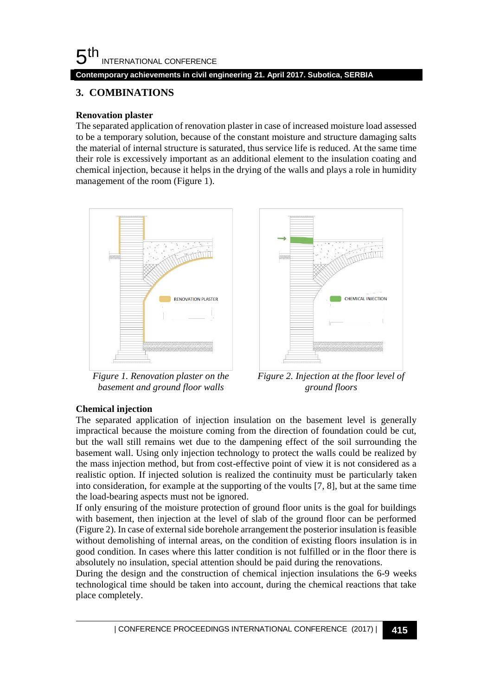#### 5 th INTERNATIONAL CONFERENCE **Contemporary achievements in civil engineering 21. April 2017. Subotica, SERBIA**

# **3. COMBINATIONS**

# **Renovation plaster**

The separated application of renovation plaster in case of increased moisture load assessed to be a temporary solution, because of the constant moisture and structure damaging salts the material of internal structure is saturated, thus service life is reduced. At the same time their role is excessively important as an additional element to the insulation coating and chemical injection, because it helps in the drying of the walls and plays a role in humidity management of the room (Figure 1).



*Figure 1. Renovation plaster on the basement and ground floor walls*



*Figure 2. Injection at the floor level of ground floors*

# **Chemical injection**

The separated application of injection insulation on the basement level is generally impractical because the moisture coming from the direction of foundation could be cut, but the wall still remains wet due to the dampening effect of the soil surrounding the basement wall. Using only injection technology to protect the walls could be realized by the mass injection method, but from cost-effective point of view it is not considered as a realistic option. If injected solution is realized the continuity must be particularly taken into consideration, for example at the supporting of the voults [7, 8], but at the same time the load-bearing aspects must not be ignored.

If only ensuring of the moisture protection of ground floor units is the goal for buildings with basement, then injection at the level of slab of the ground floor can be performed (Figure 2). In case of external side borehole arrangement the posterior insulation is feasible without demolishing of internal areas, on the condition of existing floors insulation is in good condition. In cases where this latter condition is not fulfilled or in the floor there is absolutely no insulation, special attention should be paid during the renovations.

During the design and the construction of chemical injection insulations the 6-9 weeks technological time should be taken into account, during the chemical reactions that take place completely.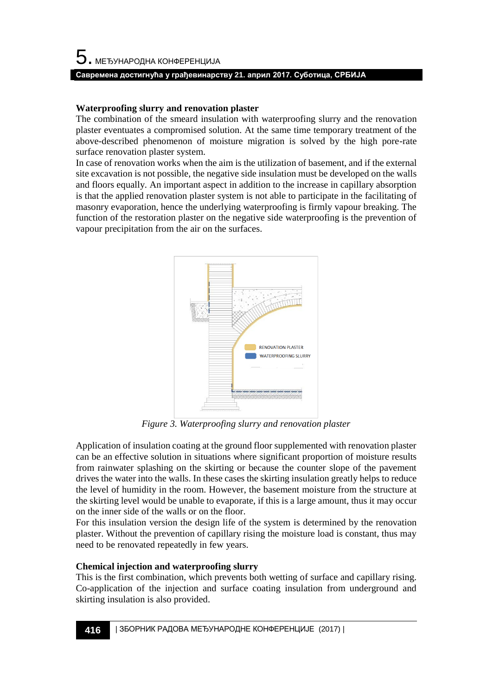# **Waterproofing slurry and renovation plaster**

The combination of the smeard insulation with waterproofing slurry and the renovation plaster eventuates a compromised solution. At the same time temporary treatment of the above-described phenomenon of moisture migration is solved by the high pore-rate surface renovation plaster system.

In case of renovation works when the aim is the utilization of basement, and if the external site excavation is not possible, the negative side insulation must be developed on the walls and floors equally. An important aspect in addition to the increase in capillary absorption is that the applied renovation plaster system is not able to participate in the facilitating of masonry evaporation, hence the underlying waterproofing is firmly vapour breaking. The function of the restoration plaster on the negative side waterproofing is the prevention of vapour precipitation from the air on the surfaces.



*Figure 3. Waterproofing slurry and renovation plaster*

Application of insulation coating at the ground floor supplemented with renovation plaster can be an effective solution in situations where significant proportion of moisture results from rainwater splashing on the skirting or because the counter slope of the pavement drives the water into the walls. In these cases the skirting insulation greatly helps to reduce the level of humidity in the room. However, the basement moisture from the structure at the skirting level would be unable to evaporate, if this is a large amount, thus it may occur on the inner side of the walls or on the floor.

For this insulation version the design life of the system is determined by the renovation plaster. Without the prevention of capillary rising the moisture load is constant, thus may need to be renovated repeatedly in few years.

# **Chemical injection and waterproofing slurry**

This is the first combination, which prevents both wetting of surface and capillary rising. Co-application of the injection and surface coating insulation from underground and skirting insulation is also provided.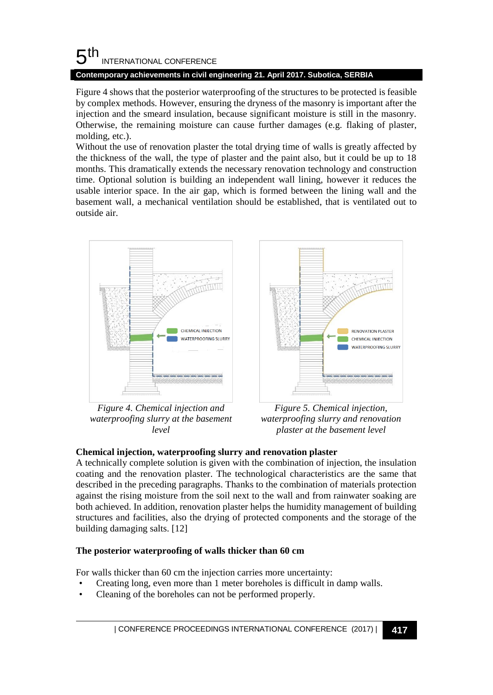#### 5 th INTERNATIONAL CONFERENCE

# **Contemporary achievements in civil engineering 21. April 2017. Subotica, SERBIA**

Figure 4 shows that the posterior waterproofing of the structures to be protected is feasible by complex methods. However, ensuring the dryness of the masonry is important after the injection and the smeard insulation, because significant moisture is still in the masonry. Otherwise, the remaining moisture can cause further damages (e.g. flaking of plaster, molding, etc.).

Without the use of renovation plaster the total drying time of walls is greatly affected by the thickness of the wall, the type of plaster and the paint also, but it could be up to 18 months. This dramatically extends the necessary renovation technology and construction time. Optional solution is building an independent wall lining, however it reduces the usable interior space. In the air gap, which is formed between the lining wall and the basement wall, a mechanical ventilation should be established, that is ventilated out to outside air.





*Figure 4. Chemical injection and waterproofing slurry at the basement level*

*Figure 5. Chemical injection, waterproofing slurry and renovation plaster at the basement level*

# **Chemical injection, waterproofing slurry and renovation plaster**

A technically complete solution is given with the combination of injection, the insulation coating and the renovation plaster. The technological characteristics are the same that described in the preceding paragraphs. Thanks to the combination of materials protection against the rising moisture from the soil next to the wall and from rainwater soaking are both achieved. In addition, renovation plaster helps the humidity management of building structures and facilities, also the drying of protected components and the storage of the building damaging salts. [12]

# **The posterior waterproofing of walls thicker than 60 cm**

For walls thicker than 60 cm the injection carries more uncertainty:

- Creating long, even more than 1 meter boreholes is difficult in damp walls.
- Cleaning of the boreholes can not be performed properly.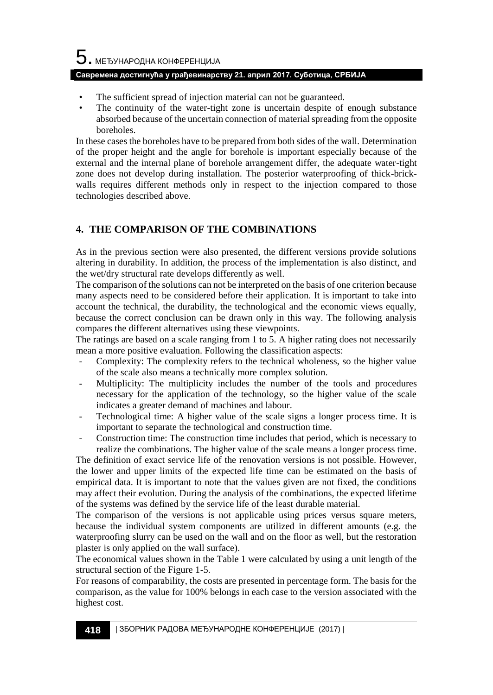# $5$ . међународна конференција

### **Савремена достигнућа у грађевинарству 21. април 2017. Суботица, СРБИЈА**

- The sufficient spread of injection material can not be guaranteed.
- The continuity of the water-tight zone is uncertain despite of enough substance absorbed because of the uncertain connection of material spreading from the opposite boreholes.

In these cases the boreholes have to be prepared from both sides of the wall. Determination of the proper height and the angle for borehole is important especially because of the external and the internal plane of borehole arrangement differ, the adequate water-tight zone does not develop during installation. The posterior waterproofing of thick-brickwalls requires different methods only in respect to the injection compared to those technologies described above.

# **4. THE COMPARISON OF THE COMBINATIONS**

As in the previous section were also presented, the different versions provide solutions altering in durability. In addition, the process of the implementation is also distinct, and the wet/dry structural rate develops differently as well.

The comparison of the solutions can not be interpreted on the basis of one criterion because many aspects need to be considered before their application. It is important to take into account the technical, the durability, the technological and the economic views equally, because the correct conclusion can be drawn only in this way. The following analysis compares the different alternatives using these viewpoints.

The ratings are based on a scale ranging from 1 to 5. A higher rating does not necessarily mean a more positive evaluation. Following the classification aspects:

- Complexity: The complexity refers to the technical wholeness, so the higher value of the scale also means a technically more complex solution.
- Multiplicity: The multiplicity includes the number of the tools and procedures necessary for the application of the technology, so the higher value of the scale indicates a greater demand of machines and labour.
- Technological time: A higher value of the scale signs a longer process time. It is important to separate the technological and construction time.
- Construction time: The construction time includes that period, which is necessary to realize the combinations. The higher value of the scale means a longer process time.

The definition of exact service life of the renovation versions is not possible. However, the lower and upper limits of the expected life time can be estimated on the basis of empirical data. It is important to note that the values given are not fixed, the conditions may affect their evolution. During the analysis of the combinations, the expected lifetime of the systems was defined by the service life of the least durable material.

The comparison of the versions is not applicable using prices versus square meters, because the individual system components are utilized in different amounts (e.g. the waterproofing slurry can be used on the wall and on the floor as well, but the restoration plaster is only applied on the wall surface).

The economical values shown in the Table 1 were calculated by using a unit length of the structural section of the Figure 1-5.

For reasons of comparability, the costs are presented in percentage form. The basis for the comparison, as the value for 100% belongs in each case to the version associated with the highest cost.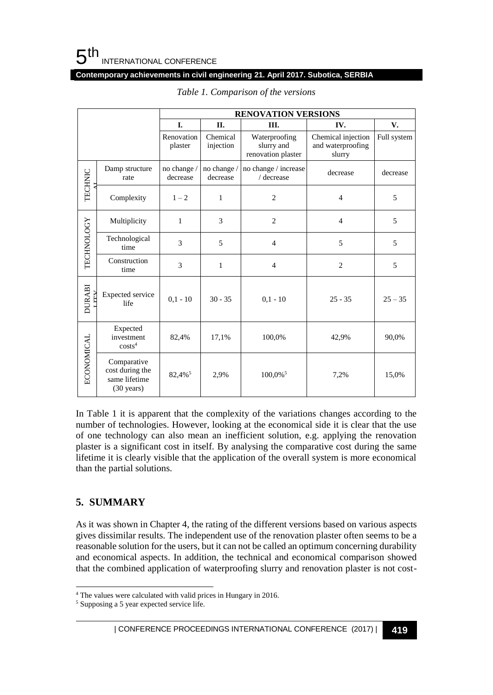#### **Contemporary achievements in civil engineering 21. April 2017. Subotica, SERBIA**

|                   |                                                                         | <b>RENOVATION VERSIONS</b> |                         |                                                   |                                                   |             |
|-------------------|-------------------------------------------------------------------------|----------------------------|-------------------------|---------------------------------------------------|---------------------------------------------------|-------------|
|                   |                                                                         | I.                         | П.                      | Ш.                                                | IV.                                               | V.          |
|                   |                                                                         | Renovation<br>plaster      | Chemical<br>injection   | Waterproofing<br>slurry and<br>renovation plaster | Chemical injection<br>and waterproofing<br>slurry | Full system |
| TECHNIC           | Damp structure<br>rate                                                  | no change /<br>decrease    | no change /<br>decrease | no change $\prime$ increase<br>/ decrease         | decrease                                          | decrease    |
|                   | Complexity                                                              | $1 - 2$                    | $\mathbf{1}$            | $\overline{2}$                                    | $\overline{4}$                                    | 5           |
| <b>TECHNOLOGY</b> | Multiplicity                                                            | $\mathbf{1}$               | 3                       | $\overline{2}$                                    | $\overline{4}$                                    | 5           |
|                   | Technological<br>time                                                   | 3                          | 5                       | $\overline{4}$                                    | 5                                                 | 5           |
|                   | Construction<br>time                                                    | 3                          | $\mathbf{1}$            | $\overline{4}$                                    | $\overline{2}$                                    | 5           |
| <b>DURABI</b>     | Expected service<br>life                                                | $0.1 - 10$                 | $30 - 35$               | $0.1 - 10$                                        | $25 - 35$                                         | $25 - 35$   |
| <b>ECONOMICAL</b> | Expected<br>investment<br>costs <sup>4</sup>                            | 82,4%                      | 17,1%                   | 100,0%                                            | 42,9%                                             | 90,0%       |
|                   | Comparative<br>cost during the<br>same lifetime<br>$(30 \text{ years})$ | 82,4% <sup>5</sup>         | 2,9%                    | $100,0\%$ <sup>5</sup>                            | 7,2%                                              | 15,0%       |

*Table 1. Comparison of the versions*

In Table 1 it is apparent that the complexity of the variations changes according to the number of technologies. However, looking at the economical side it is clear that the use of one technology can also mean an inefficient solution, e.g. applying the renovation plaster is a significant cost in itself. By analysing the comparative cost during the same lifetime it is clearly visible that the application of the overall system is more economical than the partial solutions.

# **5. SUMMARY**

l

As it was shown in Chapter 4, the rating of the different versions based on various aspects gives dissimilar results. The independent use of the renovation plaster often seems to be a reasonable solution for the users, but it can not be called an optimum concerning durability and economical aspects. In addition, the technical and economical comparison showed that the combined application of waterproofing slurry and renovation plaster is not cost-

<sup>4</sup> The values were calculated with valid prices in Hungary in 2016.

<sup>5</sup> Supposing a 5 year expected service life.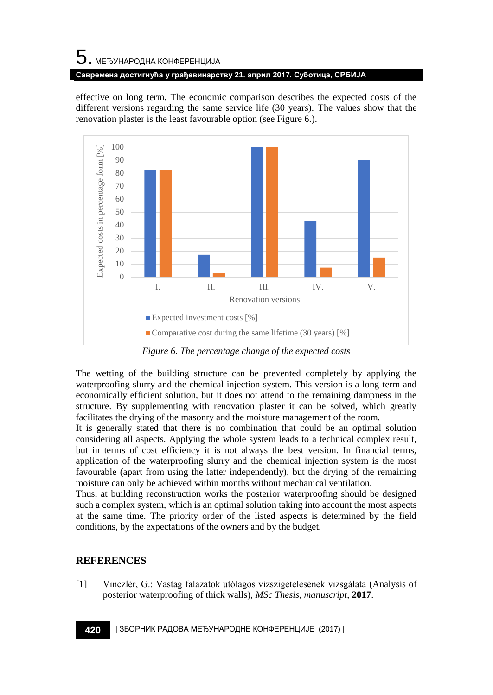# $5$ . међународна конференција **Савремена достигнућа у грађевинарству 21. април 2017. Суботица, СРБИЈА**

effective on long term. The economic comparison describes the expected costs of the different versions regarding the same service life (30 years). The values show that the renovation plaster is the least favourable option (see Figure 6.).



*Figure 6. The percentage change of the expected costs*

The wetting of the building structure can be prevented completely by applying the waterproofing slurry and the chemical injection system. This version is a long-term and economically efficient solution, but it does not attend to the remaining dampness in the structure. By supplementing with renovation plaster it can be solved, which greatly facilitates the drying of the masonry and the moisture management of the room.

It is generally stated that there is no combination that could be an optimal solution considering all aspects. Applying the whole system leads to a technical complex result, but in terms of cost efficiency it is not always the best version. In financial terms, application of the waterproofing slurry and the chemical injection system is the most favourable (apart from using the latter independently), but the drying of the remaining moisture can only be achieved within months without mechanical ventilation.

Thus, at building reconstruction works the posterior waterproofing should be designed such a complex system, which is an optimal solution taking into account the most aspects at the same time. The priority order of the listed aspects is determined by the field conditions, by the expectations of the owners and by the budget.

# **REFERENCES**

[1] Vinczlér, G.: Vastag falazatok utólagos vízszigetelésének vizsgálata (Analysis of posterior waterproofing of thick walls), *MSc Thesis, manuscript*, **2017**.